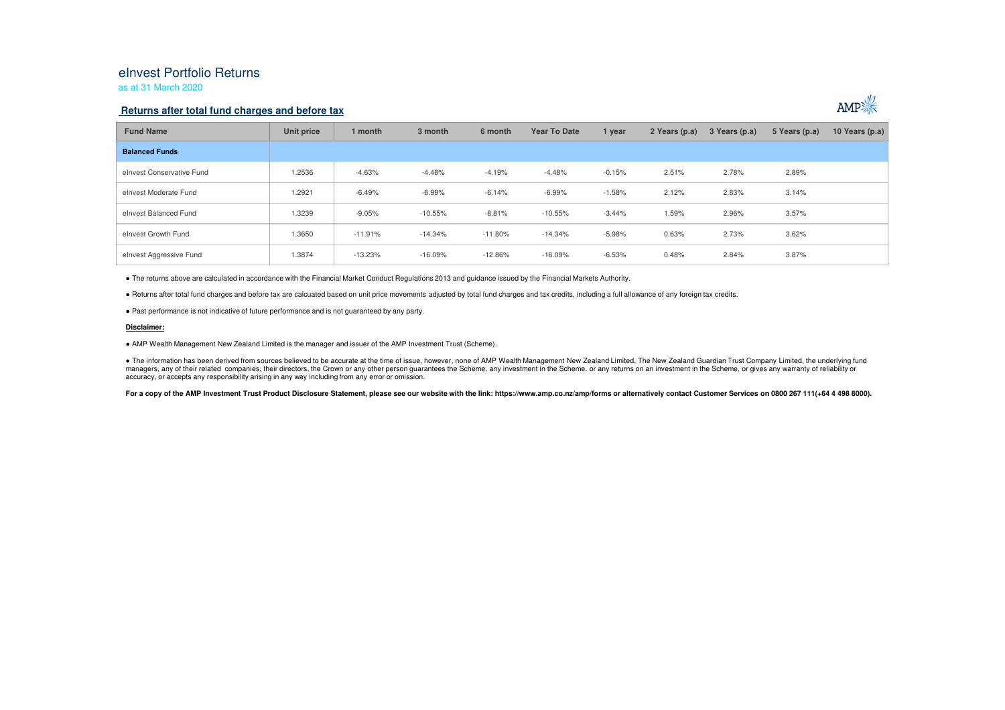# eInvest Portfolio Returns

## as at 31 March 2020

## **Returns after total fund charges and before tax**



| <b>Fund Name</b>          | Unit price | 1 month   | 3 month   | 6 month   | <b>Year To Date</b> | 1 year   | 2 Years (p.a) | 3 Years (p.a) | 5 Years (p.a) | 10 Years $(p.a)$ |
|---------------------------|------------|-----------|-----------|-----------|---------------------|----------|---------------|---------------|---------------|------------------|
| <b>Balanced Funds</b>     |            |           |           |           |                     |          |               |               |               |                  |
| elnvest Conservative Fund | 1.2536     | $-4.63%$  | $-4.48%$  | $-4.19%$  | $-4.48%$            | $-0.15%$ | 2.51%         | 2.78%         | 2.89%         |                  |
| elnyest Moderate Fund     | 1.2921     | $-6.49%$  | $-6.99%$  | $-6.14%$  | $-6.99%$            | $-1.58%$ | 2.12%         | 2.83%         | 3.14%         |                  |
| elnyest Balanced Fund     | 1.3239     | $-9.05%$  | $-10.55%$ | $-8.81%$  | $-10.55%$           | $-3.44%$ | 1.59%         | 2.96%         | 3.57%         |                  |
| elnvest Growth Fund       | 1.3650     | $-11.91%$ | $-14.34%$ | $-11.80%$ | $-14.34%$           | $-5.98%$ | 0.63%         | 2.73%         | 3.62%         |                  |
| elnvest Aggressive Fund   | 1.3874     | $-13.23%$ | $-16.09%$ | $-12.86%$ | $-16.09%$           | $-6.53%$ | 0.48%         | 2.84%         | 3.87%         |                  |

● The returns above are calculated in accordance with the Financial Market Conduct Regulations 2013 and guidance issued by the Financial Markets Authority.

● Returns after total fund charges and before tax are calcuated based on unit price movements adjusted by total fund charges and tax credits, including a full allowance of any foreign tax credits.

● Past performance is not indicative of future performance and is not guaranteed by any party.

#### **Disclaimer:**

● AMP Wealth Management New Zealand Limited is the manager and issuer of the AMP Investment Trust (Scheme).

● The information has been derived from sources believed to be accurate at the time of issue, however, none of AMP Wealth Management New Zealand Limited, The New Zealand Guardian Trust Company Limited, the underlying fund managers, any of their related companies, their directors, the Crown or any other person quarantees the Scheme, any investment in the Scheme, or any returns on an investment in the Scheme, or gives any warranty of reliabil accuracy, or accepts any responsibility arising in any way including from any error or omission.

For a copy of the AMP Investment Trust Product Disclosure Statement, please see our website with the link: https://www.amp.co.nz/amp/forms or alternatively contact Customer Services on 0800 267 111(+64 4 498 8000).